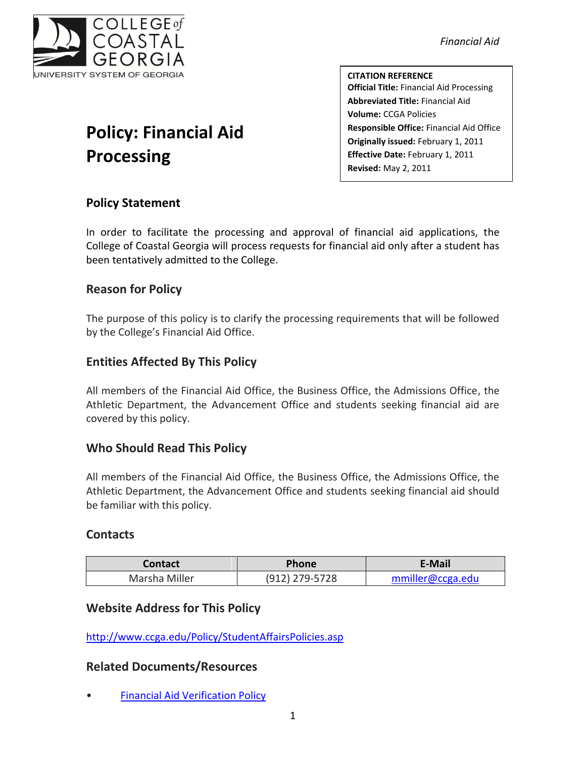

*Financial Aid*

**CITATION REFERENCE Official Title:** Financial Aid Processing **Abbreviated Title:** Financial Aid **Volume:** CCGA Policies **Responsible Office:** Financial Aid Office **Originally issued:** February 1, 2011 **Effective Date:** February 1, 2011 **Revised:** May 2, 2011

# **Policy: Financial Aid Processing**

# **Policy Statement**

In order to facilitate the processing and approval of financial aid applications, the College of Coastal Georgia will process requests for financial aid only after a student has been tentatively admitted to the College.

## **Reason for Policy**

The purpose of this policy is to clarify the processing requirements that will be followed by the College's Financial Aid Office.

# **Entities Affected By This Policy**

All members of the Financial Aid Office, the Business Office, the Admissions Office, the Athletic Department, the Advancement Office and students seeking financial aid are covered by this policy.

## **Who Should Read This Policy**

All members of the Financial Aid Office, the Business Office, the Admissions Office, the Athletic Department, the Advancement Office and students seeking financial aid should be familiar with this policy.

#### **Contacts**

| <b>Contact</b> | <b>Phone</b>   | E-Mail           |
|----------------|----------------|------------------|
| Marsha Miller  | (912) 279-5728 | mmiller@ccga.edu |

#### **Website Address for This Policy**

<http://www.ccga.edu/Policy/StudentAffairsPolicies.asp>

#### **Related Documents/Resources**

• [Financial Aid Verification Policy](file:///C:/Users/blemons/Downloads/RPI/Financial%20Aid%20Policies/FinancialAidVerificationPolicy_Final020111.pdf)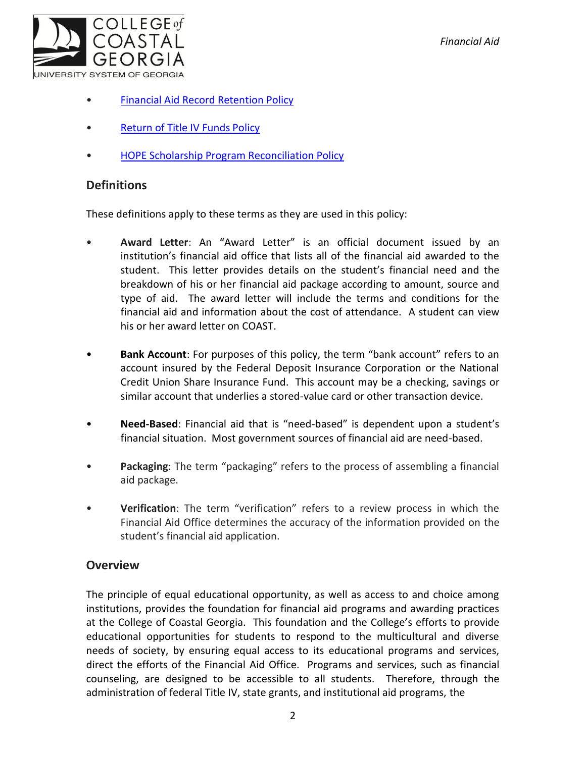

- [Financial Aid Record Retention Policy](file:///C:/Users/blemons/Downloads/RPI/Financial%20Aid%20Policies/FinancialAidRecordRetentionPolicy_Final020111.pdf)
- [Return of Title IV Funds Policy](file:///C:/Users/blemons/Downloads/RPI/Financial%20Aid%20Policies/ReturnofTitleIVFundsPolicy_Final020111.pdf)
- [HOPE Scholarship Program Reconciliation Policy](file:///C:/Users/blemons/Downloads/RPI/Financial%20Aid%20Policies/HOPEReconciliationPolicy_Final020111.pdf)

# **Definitions**

These definitions apply to these terms as they are used in this policy:

- **Award Letter**: An "Award Letter" is an official document issued by an institution's financial aid office that lists all of the financial aid awarded to the student. This letter provides details on the student's financial need and the breakdown of his or her financial aid package according to amount, source and type of aid. The award letter will include the terms and conditions for the financial aid and information about the cost of attendance. A student can view his or her award letter on COAST.
- **Bank Account**: For purposes of this policy, the term "bank account" refers to an account insured by the Federal Deposit Insurance Corporation or the National Credit Union Share Insurance Fund. This account may be a checking, savings or similar account that underlies a stored-value card or other transaction device.
- **Need-Based**: Financial aid that is "need-based" is dependent upon a student's financial situation. Most government sources of financial aid are need-based.
- **Packaging**: The term "packaging" refers to the process of assembling a financial aid package.
- **Verification**: The term "verification" refers to a review process in which the Financial Aid Office determines the accuracy of the information provided on the student's financial aid application.

## **Overview**

The principle of equal educational opportunity, as well as access to and choice among institutions, provides the foundation for financial aid programs and awarding practices at the College of Coastal Georgia. This foundation and the College's efforts to provide educational opportunities for students to respond to the multicultural and diverse needs of society, by ensuring equal access to its educational programs and services, direct the efforts of the Financial Aid Office. Programs and services, such as financial counseling, are designed to be accessible to all students. Therefore, through the administration of federal Title IV, state grants, and institutional aid programs, the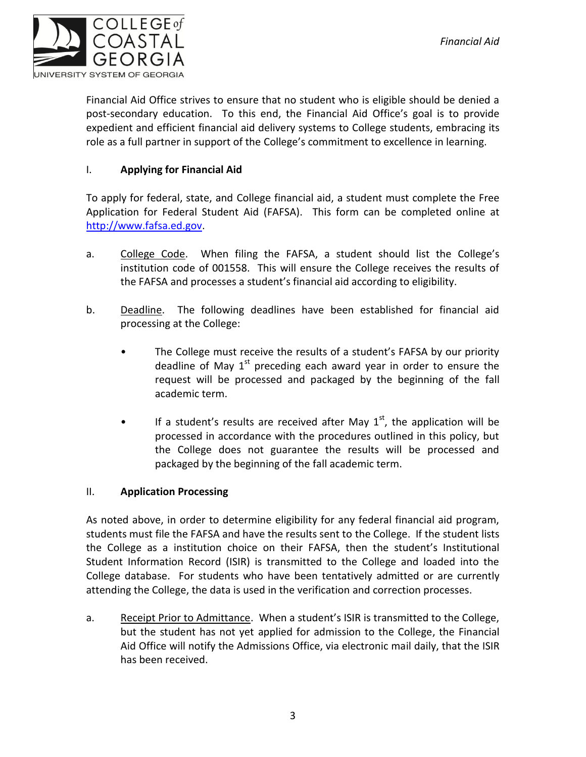

Financial Aid Office strives to ensure that no student who is eligible should be denied a post-secondary education. To this end, the Financial Aid Office's goal is to provide expedient and efficient financial aid delivery systems to College students, embracing its role as a full partner in support of the College's commitment to excellence in learning.

#### I. **Applying for Financial Aid**

To apply for federal, state, and College financial aid, a student must complete the Free Application for Federal Student Aid (FAFSA). This form can be completed online at [http://www.fafsa.ed.gov.](http://www.fafsa.ed.gov/)

- a. College Code. When filing the FAFSA, a student should list the College's institution code of 001558. This will ensure the College receives the results of the FAFSA and processes a student's financial aid according to eligibility.
- b. Deadline. The following deadlines have been established for financial aid processing at the College:
	- The College must receive the results of a student's FAFSA by our priority deadline of May  $1<sup>st</sup>$  preceding each award year in order to ensure the request will be processed and packaged by the beginning of the fall academic term.
	- If a student's results are received after May  $1<sup>st</sup>$ , the application will be processed in accordance with the procedures outlined in this policy, but the College does not guarantee the results will be processed and packaged by the beginning of the fall academic term.

#### II. **Application Processing**

As noted above, in order to determine eligibility for any federal financial aid program, students must file the FAFSA and have the results sent to the College. If the student lists the College as a institution choice on their FAFSA, then the student's Institutional Student Information Record (ISIR) is transmitted to the College and loaded into the College database. For students who have been tentatively admitted or are currently attending the College, the data is used in the verification and correction processes.

a. Receipt Prior to Admittance. When a student's ISIR is transmitted to the College, but the student has not yet applied for admission to the College, the Financial Aid Office will notify the Admissions Office, via electronic mail daily, that the ISIR has been received.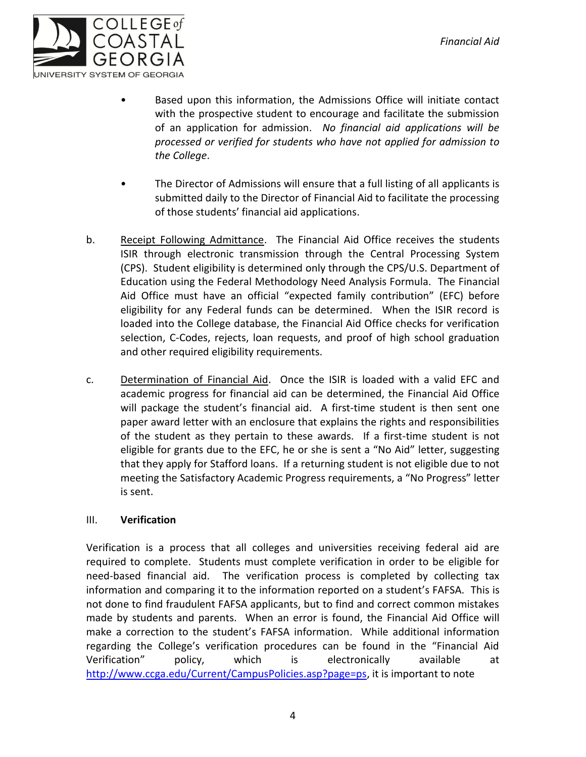

- Based upon this information, the Admissions Office will initiate contact with the prospective student to encourage and facilitate the submission of an application for admission. *No financial aid applications will be processed or verified for students who have not applied for admission to the College*.
- The Director of Admissions will ensure that a full listing of all applicants is submitted daily to the Director of Financial Aid to facilitate the processing of those students' financial aid applications.
- b. Receipt Following Admittance. The Financial Aid Office receives the students ISIR through electronic transmission through the Central Processing System (CPS). Student eligibility is determined only through the CPS/U.S. Department of Education using the Federal Methodology Need Analysis Formula. The Financial Aid Office must have an official "expected family contribution" (EFC) before eligibility for any Federal funds can be determined. When the ISIR record is loaded into the College database, the Financial Aid Office checks for verification selection, C-Codes, rejects, loan requests, and proof of high school graduation and other required eligibility requirements.
- c. Determination of Financial Aid. Once the ISIR is loaded with a valid EFC and academic progress for financial aid can be determined, the Financial Aid Office will package the student's financial aid. A first-time student is then sent one paper award letter with an enclosure that explains the rights and responsibilities of the student as they pertain to these awards. If a first-time student is not eligible for grants due to the EFC, he or she is sent a "No Aid" letter, suggesting that they apply for Stafford loans. If a returning student is not eligible due to not meeting the Satisfactory Academic Progress requirements, a "No Progress" letter is sent.

#### III. **Verification**

Verification is a process that all colleges and universities receiving federal aid are required to complete. Students must complete verification in order to be eligible for need-based financial aid. The verification process is completed by collecting tax information and comparing it to the information reported on a student's FAFSA. This is not done to find fraudulent FAFSA applicants, but to find and correct common mistakes made by students and parents. When an error is found, the Financial Aid Office will make a correction to the student's FAFSA information. While additional information regarding the College's verification procedures can be found in the "Financial Aid Verification" policy, which is electronically available at [http://www.ccga.edu/Current/CampusPolicies.asp?page=ps,](http://www.ccga.edu/Current/CampusPolicies.asp?page=ps) it is important to note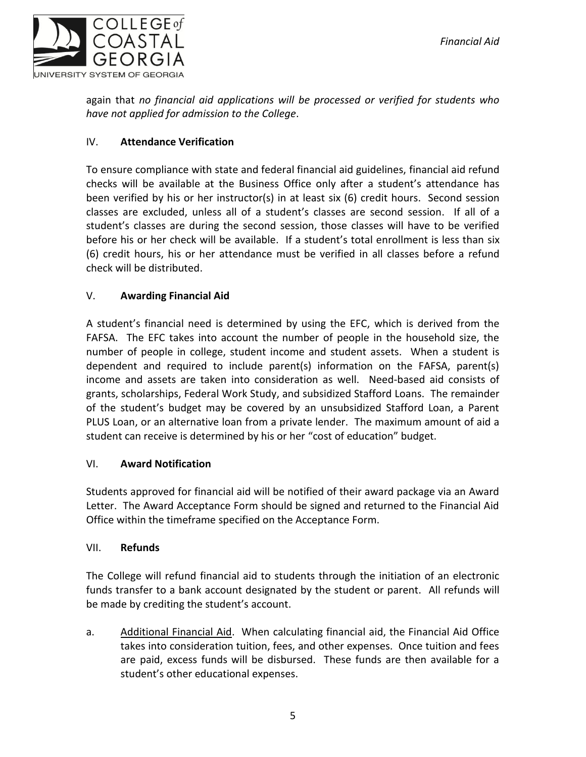

again that *no financial aid applications will be processed or verified for students who have not applied for admission to the College*.

#### IV. **Attendance Verification**

To ensure compliance with state and federal financial aid guidelines, financial aid refund checks will be available at the Business Office only after a student's attendance has been verified by his or her instructor(s) in at least six (6) credit hours. Second session classes are excluded, unless all of a student's classes are second session. If all of a student's classes are during the second session, those classes will have to be verified before his or her check will be available. If a student's total enrollment is less than six (6) credit hours, his or her attendance must be verified in all classes before a refund check will be distributed.

#### V. **Awarding Financial Aid**

A student's financial need is determined by using the EFC, which is derived from the FAFSA. The EFC takes into account the number of people in the household size, the number of people in college, student income and student assets. When a student is dependent and required to include parent(s) information on the FAFSA, parent(s) income and assets are taken into consideration as well. Need-based aid consists of grants, scholarships, Federal Work Study, and subsidized Stafford Loans. The remainder of the student's budget may be covered by an unsubsidized Stafford Loan, a Parent PLUS Loan, or an alternative loan from a private lender. The maximum amount of aid a student can receive is determined by his or her "cost of education" budget.

#### VI. **Award Notification**

Students approved for financial aid will be notified of their award package via an Award Letter. The Award Acceptance Form should be signed and returned to the Financial Aid Office within the timeframe specified on the Acceptance Form.

#### VII. **Refunds**

The College will refund financial aid to students through the initiation of an electronic funds transfer to a bank account designated by the student or parent. All refunds will be made by crediting the student's account.

a. Additional Financial Aid. When calculating financial aid, the Financial Aid Office takes into consideration tuition, fees, and other expenses. Once tuition and fees are paid, excess funds will be disbursed. These funds are then available for a student's other educational expenses.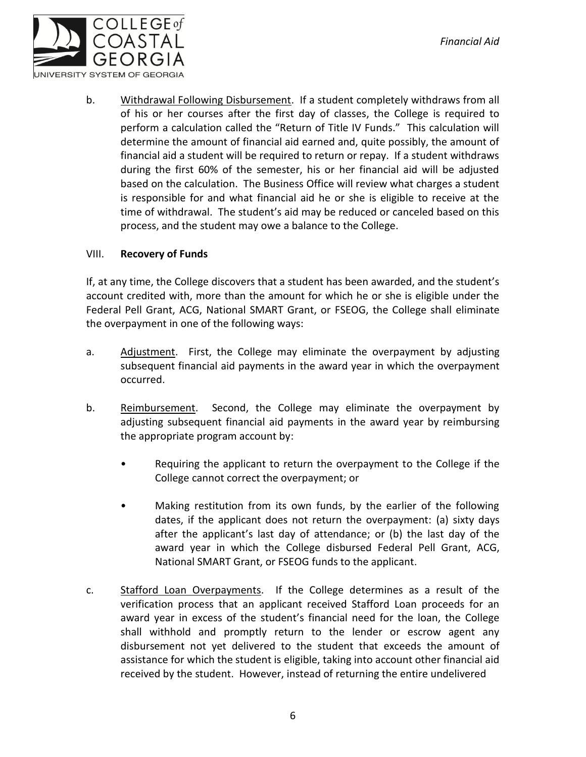

b. Withdrawal Following Disbursement. If a student completely withdraws from all of his or her courses after the first day of classes, the College is required to perform a calculation called the "Return of Title IV Funds." This calculation will determine the amount of financial aid earned and, quite possibly, the amount of financial aid a student will be required to return or repay. If a student withdraws during the first 60% of the semester, his or her financial aid will be adjusted based on the calculation. The Business Office will review what charges a student is responsible for and what financial aid he or she is eligible to receive at the time of withdrawal. The student's aid may be reduced or canceled based on this process, and the student may owe a balance to the College.

#### VIII. **Recovery of Funds**

If, at any time, the College discovers that a student has been awarded, and the student's account credited with, more than the amount for which he or she is eligible under the Federal Pell Grant, ACG, National SMART Grant, or FSEOG, the College shall eliminate the overpayment in one of the following ways:

- a. Adjustment. First, the College may eliminate the overpayment by adjusting subsequent financial aid payments in the award year in which the overpayment occurred.
- b. Reimbursement. Second, the College may eliminate the overpayment by adjusting subsequent financial aid payments in the award year by reimbursing the appropriate program account by:
	- Requiring the applicant to return the overpayment to the College if the College cannot correct the overpayment; or
	- Making restitution from its own funds, by the earlier of the following dates, if the applicant does not return the overpayment: (a) sixty days after the applicant's last day of attendance; or (b) the last day of the award year in which the College disbursed Federal Pell Grant, ACG, National SMART Grant, or FSEOG funds to the applicant.
- c. Stafford Loan Overpayments. If the College determines as a result of the verification process that an applicant received Stafford Loan proceeds for an award year in excess of the student's financial need for the loan, the College shall withhold and promptly return to the lender or escrow agent any disbursement not yet delivered to the student that exceeds the amount of assistance for which the student is eligible, taking into account other financial aid received by the student. However, instead of returning the entire undelivered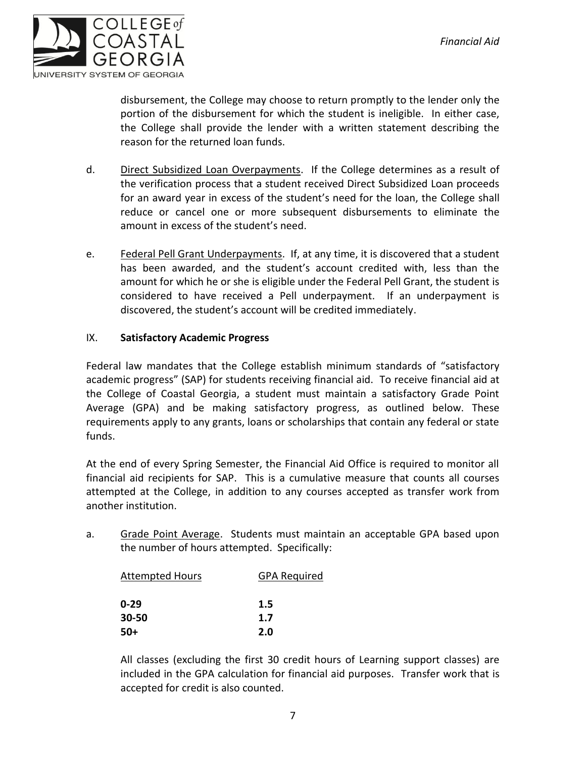

disbursement, the College may choose to return promptly to the lender only the portion of the disbursement for which the student is ineligible. In either case, the College shall provide the lender with a written statement describing the reason for the returned loan funds.

- d. Direct Subsidized Loan Overpayments. If the College determines as a result of the verification process that a student received Direct Subsidized Loan proceeds for an award year in excess of the student's need for the loan, the College shall reduce or cancel one or more subsequent disbursements to eliminate the amount in excess of the student's need.
- e. Federal Pell Grant Underpayments. If, at any time, it is discovered that a student has been awarded, and the student's account credited with, less than the amount for which he or she is eligible under the Federal Pell Grant, the student is considered to have received a Pell underpayment. If an underpayment is discovered, the student's account will be credited immediately.

#### IX. **Satisfactory Academic Progress**

Federal law mandates that the College establish minimum standards of "satisfactory academic progress" (SAP) for students receiving financial aid. To receive financial aid at the College of Coastal Georgia, a student must maintain a satisfactory Grade Point Average (GPA) and be making satisfactory progress, as outlined below. These requirements apply to any grants, loans or scholarships that contain any federal or state funds.

At the end of every Spring Semester, the Financial Aid Office is required to monitor all financial aid recipients for SAP. This is a cumulative measure that counts all courses attempted at the College, in addition to any courses accepted as transfer work from another institution.

a. Grade Point Average. Students must maintain an acceptable GPA based upon the number of hours attempted. Specifically:

| <b>Attempted Hours</b> | <b>GPA Required</b> |
|------------------------|---------------------|
| $0 - 29$               | 1.5                 |
| 30-50                  | 1.7                 |
| $50+$                  | 2.0                 |

All classes (excluding the first 30 credit hours of Learning support classes) are included in the GPA calculation for financial aid purposes. Transfer work that is accepted for credit is also counted.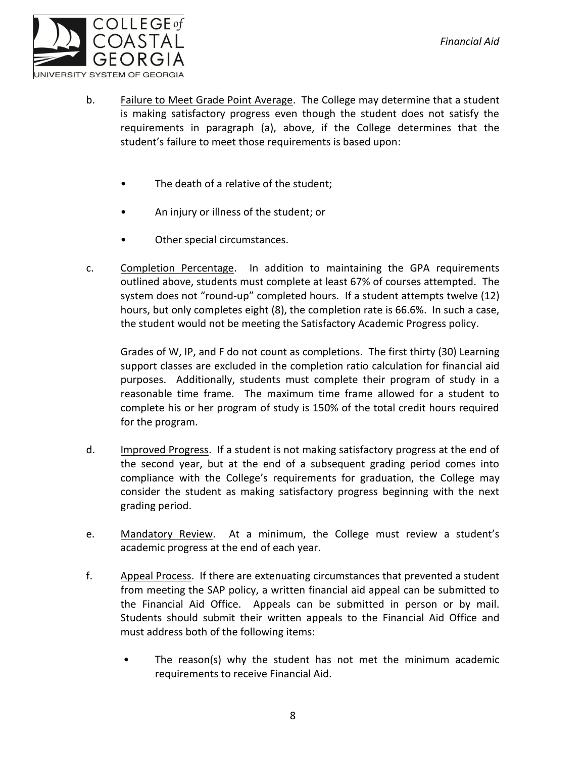

- b. Failure to Meet Grade Point Average. The College may determine that a student is making satisfactory progress even though the student does not satisfy the requirements in paragraph (a), above, if the College determines that the student's failure to meet those requirements is based upon:
	- The death of a relative of the student;
	- An injury or illness of the student; or
	- Other special circumstances.
- c. Completion Percentage. In addition to maintaining the GPA requirements outlined above, students must complete at least 67% of courses attempted. The system does not "round-up" completed hours. If a student attempts twelve (12) hours, but only completes eight (8), the completion rate is 66.6%. In such a case, the student would not be meeting the Satisfactory Academic Progress policy.

Grades of W, IP, and F do not count as completions. The first thirty (30) Learning support classes are excluded in the completion ratio calculation for financial aid purposes. Additionally, students must complete their program of study in a reasonable time frame. The maximum time frame allowed for a student to complete his or her program of study is 150% of the total credit hours required for the program.

- d. Improved Progress. If a student is not making satisfactory progress at the end of the second year, but at the end of a subsequent grading period comes into compliance with the College's requirements for graduation, the College may consider the student as making satisfactory progress beginning with the next grading period.
- e. Mandatory Review. At a minimum, the College must review a student's academic progress at the end of each year.
- f. Appeal Process. If there are extenuating circumstances that prevented a student from meeting the SAP policy, a written financial aid appeal can be submitted to the Financial Aid Office. Appeals can be submitted in person or by mail. Students should submit their written appeals to the Financial Aid Office and must address both of the following items:
	- The reason(s) why the student has not met the minimum academic requirements to receive Financial Aid.